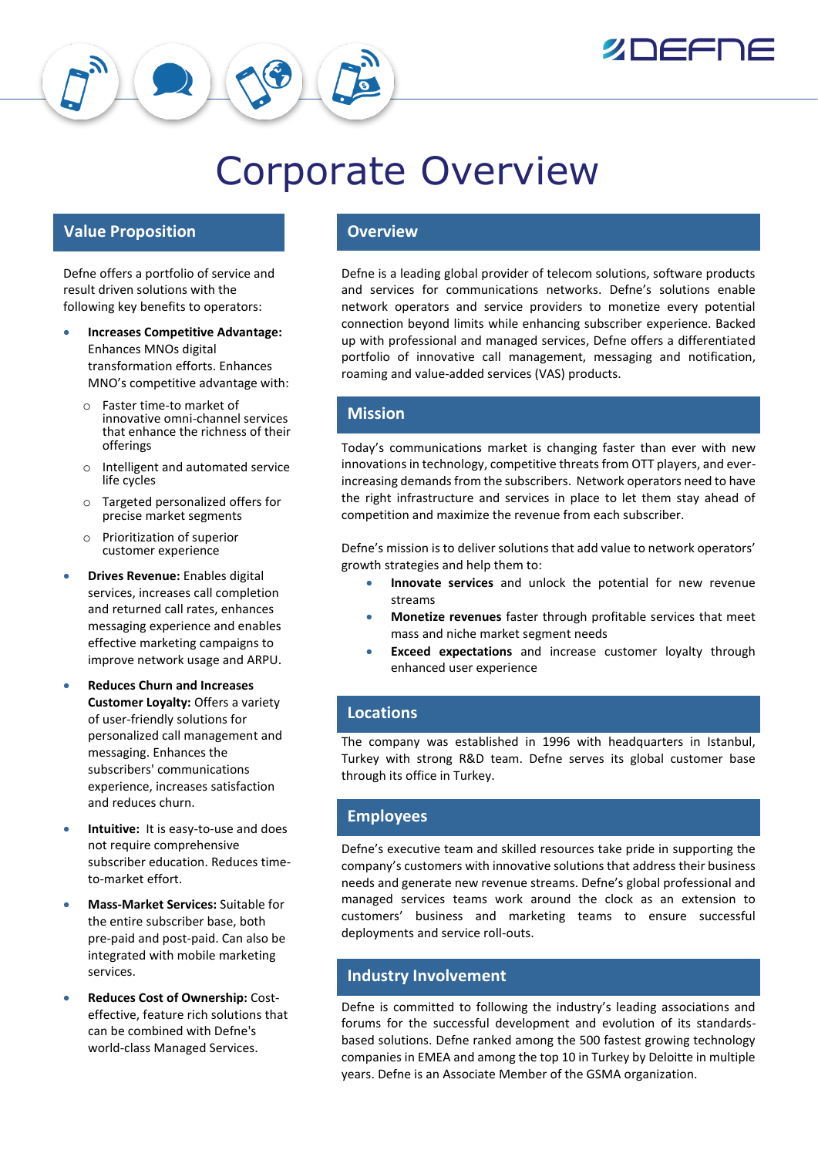

# Corporate Overview

## **Value Proposition COVER 1999 Overview**

Defne offers a portfolio of service and result driven solutions with the following key benefits to operators:

- **Increases Competitive Advantage:**  Enhances MNOs digital transformation efforts. Enhances MNO's competitive advantage with:
	- o Faster time-to market of innovative omni-channel services that enhance the richness of their offerings
	- o Intelligent and automated service life cycles
	- o Targeted personalized offers for precise market segments
	- o Prioritization of superior customer experience
- **Drives Revenue:** Enables digital services, increases call completion and returned call rates, enhances messaging experience and enables effective marketing campaigns to improve network usage and ARPU.
- **Reduces Churn and Increases Customer Loyalty:** Offers a variety of user-friendly solutions for personalized call management and messaging. Enhances the subscribers' communications experience, increases satisfaction and reduces churn.
- **Intuitive:** It is easy-to-use and does not require comprehensive subscriber education. Reduces timeto-market effort.
- **Mass-Market Services:** Suitable for the entire subscriber base, both pre-paid and post-paid. Can also be integrated with mobile marketing services.
- **Reduces Cost of Ownership:** Costeffective, feature rich solutions that can be combined with Defne's world-class Managed Services.

Defne is a leading global provider of telecom solutions, software products and services for communications networks. Defne's solutions enable network operators and service providers to monetize every potential connection beyond limits while enhancing subscriber experience. Backed up with professional and managed services, Defne offers a differentiated portfolio of innovative call management, messaging and notification, roaming and value-added services (VAS) products.

### **Mission**

Today's communications market is changing faster than ever with new innovations in technology, competitive threats from OTT players, and everincreasing demands from the subscribers. Network operators need to have the right infrastructure and services in place to let them stay ahead of competition and maximize the revenue from each subscriber.

Defne's mission is to deliver solutions that add value to network operators' growth strategies and help them to:

- **Innovate services** and unlock the potential for new revenue streams
- **Monetize revenues** faster through profitable services that meet mass and niche market segment needs
- **Exceed expectations** and increase customer loyalty through enhanced user experience

# **Locations**

The company was established in 1996 with headquarters in Istanbul, Turkey with strong R&D team. Defne serves its global customer base through its office in Turkey.

# **Employees**

Defne's executive team and skilled resources take pride in supporting the company's customers with innovative solutions that address their business needs and generate new revenue streams. Defne's global professional and managed services teams work around the clock as an extension to customers' business and marketing teams to ensure successful deployments and service roll-outs.

# **Industry Involvement**

Defne is committed to following the industry's leading associations and forums for the successful development and evolution of its standardsbased solutions. Defne ranked among the 500 fastest growing technology companies in EMEA and among the top 10 in Turkey by Deloitte in multiple years. Defne is an Associate Member of the GSMA organization.